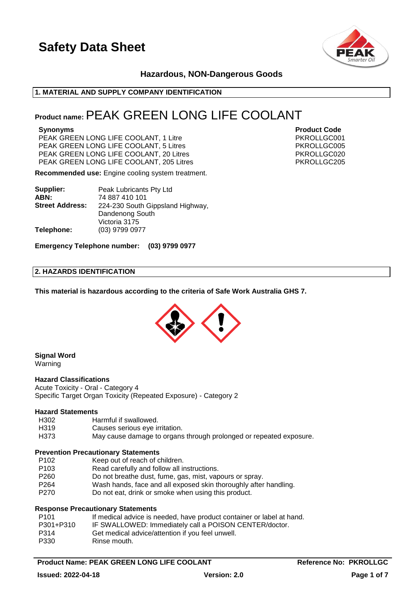

### **Hazardous, NON-Dangerous Goods**

#### **1. MATERIAL AND SUPPLY COMPANY IDENTIFICATION**

## **Product name:**PEAK GREEN LONG LIFE COOLANT

PEAK GREEN LONG LIFE COOLANT, 1 Litre **PEAK GREEN** LONG LIFE COOLANT, 1 Litre PEAK GREEN LONG LIFE COOLANT, 5 Litres PKROLLGC005 PEAK GREEN LONG LIFE COOLANT, 20 Litres **PEAK GREEN LONG ALL ACCOLLECT** PEAK GREEN LONG LIFE COOLANT, 205 Litres **PEAK ALL 205 Littes** PKROLLGC205

**Recommended use:** Engine cooling system treatment.

| Supplier:              | Peak Lubricants Pty Ltd          |
|------------------------|----------------------------------|
| ABN:                   | 74 887 410 101                   |
| <b>Street Address:</b> | 224-230 South Gippsland Highway, |
|                        | Dandenong South                  |
|                        | Victoria 3175                    |
| Telephone:             | (03) 9799 0977                   |

**Emergency Telephone number: (03) 9799 0977**

#### **2. HAZARDS IDENTIFICATION**

**This material is hazardous according to the criteria of Safe Work Australia GHS 7.**



#### **Signal Word** Warning

#### **Hazard Classifications**

Acute Toxicity - Oral - Category 4 Specific Target Organ Toxicity (Repeated Exposure) - Category 2

#### **Hazard Statements**

- H319 Causes serious eye irritation.
- H373 May cause damage to organs through prolonged or repeated exposure.

### **Prevention Precautionary Statements**

- P102 Keep out of reach of children.
- P103 Read carefully and follow all instructions.
- P260 Do not breathe dust, fume, gas, mist, vapours or spray.
- P264 Wash hands, face and all exposed skin thoroughly after handling.
- P270 Do not eat, drink or smoke when using this product.

### **Response Precautionary Statements**

| P101      | If medical advice is needed, have product container or label at hand. |
|-----------|-----------------------------------------------------------------------|
| P301+P310 | IF SWALLOWED: Immediately call a POISON CENTER/doctor.                |
| P314      | Get medical advice/attention if you feel unwell.                      |
| P330      | Rinse mouth.                                                          |

**Product Name: PEAK GREEN LONG LIFE COOLANT Reference No: PKROLLGC** 

**Issued: 2022-04-18 Version: 2.0 Page 1 of 7**

**Synonyms Product Code**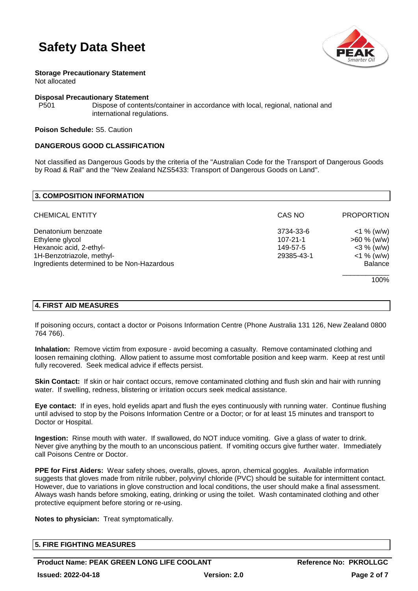

**Storage Precautionary Statement** Not allocated

#### **Disposal Precautionary Statement**

P501 Dispose of contents/container in accordance with local, regional, national and international regulations.

**Poison Schedule:** S5. Caution

### **DANGEROUS GOOD CLASSIFICATION**

Not classified as Dangerous Goods by the criteria of the "Australian Code for the Transport of Dangerous Goods by Road & Rail" and the "New Zealand NZS5433: Transport of Dangerous Goods on Land".

| CAS NO                                  | <b>PROPORTION</b>                                |
|-----------------------------------------|--------------------------------------------------|
| 3734-33-6<br>$107 - 21 - 1$<br>149-57-5 | $<$ 1 % (w/w)<br>$>60 \%$ (w/w)<br>$<$ 3 % (w/w) |
|                                         | $<$ 1 % (w/w)<br><b>Balance</b>                  |
|                                         | 100%                                             |
|                                         | 29385-43-1                                       |

### **4. FIRST AID MEASURES**

If poisoning occurs, contact a doctor or Poisons Information Centre (Phone Australia 131 126, New Zealand 0800 764 766).

**Inhalation:** Remove victim from exposure - avoid becoming a casualty. Remove contaminated clothing and loosen remaining clothing. Allow patient to assume most comfortable position and keep warm. Keep at rest until fully recovered. Seek medical advice if effects persist.

**Skin Contact:** If skin or hair contact occurs, remove contaminated clothing and flush skin and hair with running water. If swelling, redness, blistering or irritation occurs seek medical assistance.

**Eye contact:** If in eyes, hold eyelids apart and flush the eyes continuously with running water. Continue flushing until advised to stop by the Poisons Information Centre or a Doctor; or for at least 15 minutes and transport to Doctor or Hospital.

**Ingestion:** Rinse mouth with water. If swallowed, do NOT induce vomiting. Give a glass of water to drink. Never give anything by the mouth to an unconscious patient. If vomiting occurs give further water. Immediately call Poisons Centre or Doctor.

**PPE for First Aiders:** Wear safety shoes, overalls, gloves, apron, chemical goggles. Available information suggests that gloves made from nitrile rubber, polyvinyl chloride (PVC) should be suitable for intermittent contact. However, due to variations in glove construction and local conditions, the user should make a final assessment. Always wash hands before smoking, eating, drinking or using the toilet. Wash contaminated clothing and other protective equipment before storing or re-using.

**Notes to physician:** Treat symptomatically.

| <b>5. FIRE FIGHTING MEASURES</b> |  |
|----------------------------------|--|
|                                  |  |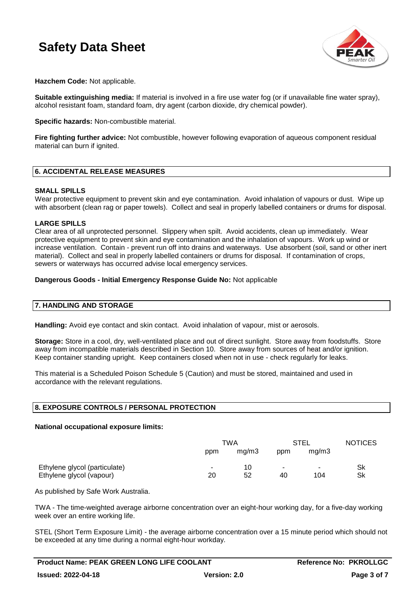

**Hazchem Code:** Not applicable.

**Suitable extinguishing media:** If material is involved in a fire use water fog (or if unavailable fine water spray), alcohol resistant foam, standard foam, dry agent (carbon dioxide, dry chemical powder).

**Specific hazards:** Non-combustible material.

**Fire fighting further advice:** Not combustible, however following evaporation of aqueous component residual material can burn if ignited.

#### **6. ACCIDENTAL RELEASE MEASURES**

#### **SMALL SPILLS**

Wear protective equipment to prevent skin and eye contamination. Avoid inhalation of vapours or dust. Wipe up with absorbent (clean rag or paper towels). Collect and seal in properly labelled containers or drums for disposal.

#### **LARGE SPILLS**

Clear area of all unprotected personnel. Slippery when spilt. Avoid accidents, clean up immediately. Wear protective equipment to prevent skin and eye contamination and the inhalation of vapours. Work up wind or increase ventilation. Contain - prevent run off into drains and waterways. Use absorbent (soil, sand or other inert material). Collect and seal in properly labelled containers or drums for disposal. If contamination of crops, sewers or waterways has occurred advise local emergency services.

#### **Dangerous Goods - Initial Emergency Response Guide No:** Not applicable

### **7. HANDLING AND STORAGE**

**Handling:** Avoid eye contact and skin contact. Avoid inhalation of vapour, mist or aerosols.

**Storage:** Store in a cool, dry, well-ventilated place and out of direct sunlight. Store away from foodstuffs. Store away from incompatible materials described in Section 10. Store away from sources of heat and/or ignition. Keep container standing upright. Keep containers closed when not in use - check regularly for leaks.

This material is a Scheduled Poison Schedule 5 (Caution) and must be stored, maintained and used in accordance with the relevant regulations.

### **8. EXPOSURE CONTROLS / PERSONAL PROTECTION**

#### **National occupational exposure limits:**

|                               | TWA    |       | <b>STEL</b> |        | <b>NOTICES</b> |
|-------------------------------|--------|-------|-------------|--------|----------------|
|                               | ppm    | mq/m3 | ppm         | mq/m3  |                |
| Ethylene glycol (particulate) | $\sim$ | 10    |             | $\sim$ | Sk             |
| Ethylene glycol (vapour)      | 20     | 52    | 40          | 104    | Sk             |

As published by Safe Work Australia.

TWA - The time-weighted average airborne concentration over an eight-hour working day, for a five-day working week over an entire working life.

STEL (Short Term Exposure Limit) - the average airborne concentration over a 15 minute period which should not be exceeded at any time during a normal eight-hour workday.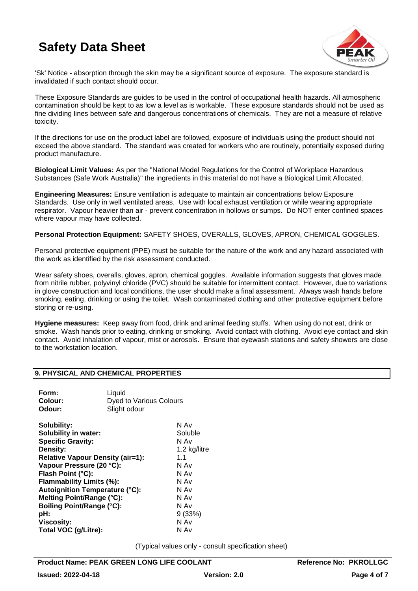

'Sk' Notice - absorption through the skin may be a significant source of exposure. The exposure standard is invalidated if such contact should occur.

These Exposure Standards are guides to be used in the control of occupational health hazards. All atmospheric contamination should be kept to as low a level as is workable. These exposure standards should not be used as fine dividing lines between safe and dangerous concentrations of chemicals. They are not a measure of relative toxicity.

If the directions for use on the product label are followed, exposure of individuals using the product should not exceed the above standard. The standard was created for workers who are routinely, potentially exposed during product manufacture.

**Biological Limit Values:** As per the "National Model Regulations for the Control of Workplace Hazardous Substances (Safe Work Australia)" the ingredients in this material do not have a Biological Limit Allocated.

**Engineering Measures:** Ensure ventilation is adequate to maintain air concentrations below Exposure Standards. Use only in well ventilated areas. Use with local exhaust ventilation or while wearing appropriate respirator. Vapour heavier than air - prevent concentration in hollows or sumps. Do NOT enter confined spaces where vapour may have collected.

**Personal Protection Equipment:** SAFETY SHOES, OVERALLS, GLOVES, APRON, CHEMICAL GOGGLES.

Personal protective equipment (PPE) must be suitable for the nature of the work and any hazard associated with the work as identified by the risk assessment conducted.

Wear safety shoes, overalls, gloves, apron, chemical goggles. Available information suggests that gloves made from nitrile rubber, polyvinyl chloride (PVC) should be suitable for intermittent contact. However, due to variations in glove construction and local conditions, the user should make a final assessment. Always wash hands before smoking, eating, drinking or using the toilet. Wash contaminated clothing and other protective equipment before storing or re-using.

**Hygiene measures:** Keep away from food, drink and animal feeding stuffs. When using do not eat, drink or smoke. Wash hands prior to eating, drinking or smoking. Avoid contact with clothing. Avoid eye contact and skin contact. Avoid inhalation of vapour, mist or aerosols. Ensure that eyewash stations and safety showers are close to the workstation location.

#### **9. PHYSICAL AND CHEMICAL PROPERTIES**

| Form:<br>Colour:<br>Odour:                                                                                                                                                                                                                                                                                                                                               | Liquid<br><b>Dyed to Various Colours</b><br>Slight odour |                                                                                                                          |
|--------------------------------------------------------------------------------------------------------------------------------------------------------------------------------------------------------------------------------------------------------------------------------------------------------------------------------------------------------------------------|----------------------------------------------------------|--------------------------------------------------------------------------------------------------------------------------|
| Solubility:<br><b>Solubility in water:</b><br><b>Specific Gravity:</b><br>Density:<br><b>Relative Vapour Density (air=1):</b><br>Vapour Pressure (20 °C):<br>Flash Point (°C):<br>Flammability Limits (%):<br><b>Autoignition Temperature (°C):</b><br>Melting Point/Range (°C):<br><b>Boiling Point/Range (°C):</b><br>pH:<br><b>Viscosity:</b><br>Total VOC (g/Litre): |                                                          | N Av<br>Soluble<br>N Av<br>1.2 kg/litre<br>1.1<br>N Av<br>N Av<br>N Av<br>N Av<br>N Av<br>N Av<br>9(33%)<br>N Av<br>N Av |
|                                                                                                                                                                                                                                                                                                                                                                          |                                                          |                                                                                                                          |

(Typical values only - consult specification sheet)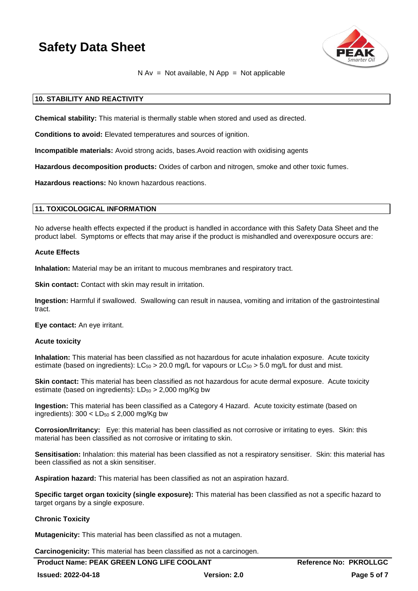

### $N Av = Not available, N App = Not applicable$

#### **10. STABILITY AND REACTIVITY**

**Chemical stability:** This material is thermally stable when stored and used as directed.

**Conditions to avoid:** Elevated temperatures and sources of ignition.

**Incompatible materials:** Avoid strong acids, bases.Avoid reaction with oxidising agents

**Hazardous decomposition products:** Oxides of carbon and nitrogen, smoke and other toxic fumes.

**Hazardous reactions:** No known hazardous reactions.

#### **11. TOXICOLOGICAL INFORMATION**

No adverse health effects expected if the product is handled in accordance with this Safety Data Sheet and the product label. Symptoms or effects that may arise if the product is mishandled and overexposure occurs are:

#### **Acute Effects**

**Inhalation:** Material may be an irritant to mucous membranes and respiratory tract.

**Skin contact:** Contact with skin may result in irritation.

**Ingestion:** Harmful if swallowed. Swallowing can result in nausea, vomiting and irritation of the gastrointestinal tract.

**Eye contact:** An eye irritant.

#### **Acute toxicity**

**Inhalation:** This material has been classified as not hazardous for acute inhalation exposure. Acute toxicity estimate (based on ingredients):  $LC_{50} > 20.0$  mg/L for vapours or  $LC_{50} > 5.0$  mg/L for dust and mist.

**Skin contact:** This material has been classified as not hazardous for acute dermal exposure. Acute toxicity estimate (based on ingredients):  $LD_{50} > 2,000$  mg/Kg bw

**Ingestion:** This material has been classified as a Category 4 Hazard. Acute toxicity estimate (based on ingredients):  $300 < L D_{50} \leq 2,000$  mg/Kg bw

**Corrosion/Irritancy:** Eye: this material has been classified as not corrosive or irritating to eyes. Skin: this material has been classified as not corrosive or irritating to skin.

**Sensitisation:** Inhalation: this material has been classified as not a respiratory sensitiser. Skin: this material has been classified as not a skin sensitiser.

**Aspiration hazard:** This material has been classified as not an aspiration hazard.

**Specific target organ toxicity (single exposure):** This material has been classified as not a specific hazard to target organs by a single exposure.

### **Chronic Toxicity**

**Mutagenicity:** This material has been classified as not a mutagen.

**Carcinogenicity:** This material has been classified as not a carcinogen.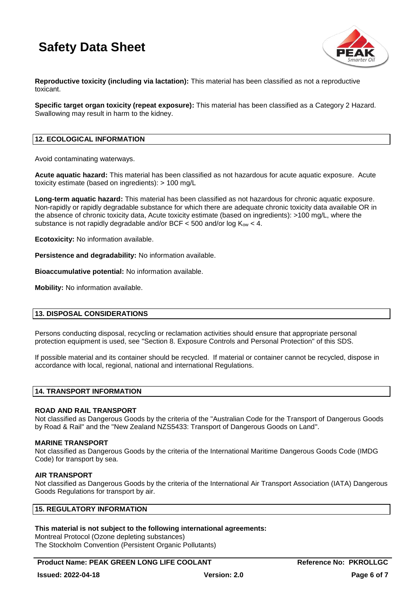

**Reproductive toxicity (including via lactation):** This material has been classified as not a reproductive toxicant.

**Specific target organ toxicity (repeat exposure):** This material has been classified as a Category 2 Hazard. Swallowing may result in harm to the kidney.

#### **12. ECOLOGICAL INFORMATION**

Avoid contaminating waterways.

**Acute aquatic hazard:** This material has been classified as not hazardous for acute aquatic exposure. Acute toxicity estimate (based on ingredients): > 100 mg/L

**Long-term aquatic hazard:** This material has been classified as not hazardous for chronic aquatic exposure. Non-rapidly or rapidly degradable substance for which there are adequate chronic toxicity data available OR in the absence of chronic toxicity data, Acute toxicity estimate (based on ingredients): >100 mg/L, where the substance is not rapidly degradable and/or BCF  $<$  500 and/or log  $K_{ow}$   $<$  4.

**Ecotoxicity:** No information available.

**Persistence and degradability:** No information available.

**Bioaccumulative potential:** No information available.

**Mobility:** No information available.

#### **13. DISPOSAL CONSIDERATIONS**

Persons conducting disposal, recycling or reclamation activities should ensure that appropriate personal protection equipment is used, see "Section 8. Exposure Controls and Personal Protection" of this SDS.

If possible material and its container should be recycled. If material or container cannot be recycled, dispose in accordance with local, regional, national and international Regulations.

#### **14. TRANSPORT INFORMATION**

#### **ROAD AND RAIL TRANSPORT**

Not classified as Dangerous Goods by the criteria of the "Australian Code for the Transport of Dangerous Goods by Road & Rail" and the "New Zealand NZS5433: Transport of Dangerous Goods on Land".

#### **MARINE TRANSPORT**

Not classified as Dangerous Goods by the criteria of the International Maritime Dangerous Goods Code (IMDG Code) for transport by sea.

#### **AIR TRANSPORT**

Not classified as Dangerous Goods by the criteria of the International Air Transport Association (IATA) Dangerous Goods Regulations for transport by air.

#### **15. REGULATORY INFORMATION**

#### **This material is not subject to the following international agreements:**

Montreal Protocol (Ozone depleting substances) The Stockholm Convention (Persistent Organic Pollutants)